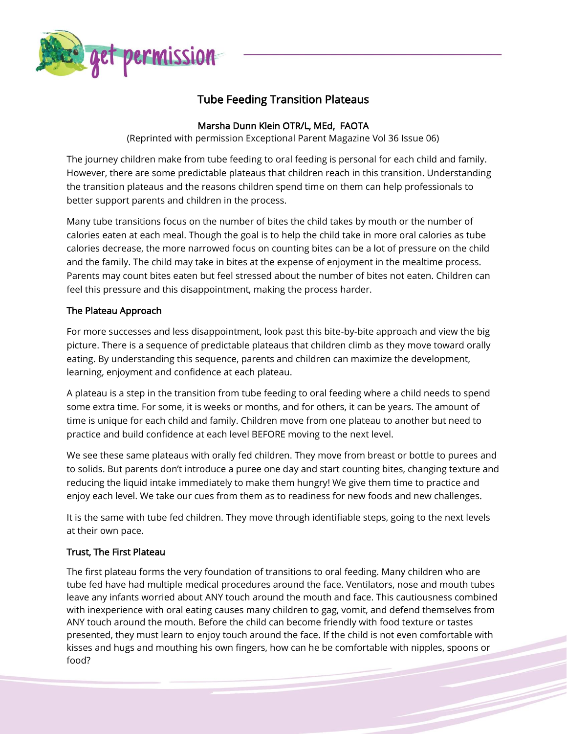

# Tube Feeding Transition Plateaus

# Marsha Dunn Klein OTR/L, MEd, FAOTA

(Reprinted with permission Exceptional Parent Magazine Vol 36 Issue 06)

The journey children make from tube feeding to oral feeding is personal for each child and family. However, there are some predictable plateaus that children reach in this transition. Understanding the transition plateaus and the reasons children spend time on them can help professionals to better support parents and children in the process.

Many tube transitions focus on the number of bites the child takes by mouth or the number of calories eaten at each meal. Though the goal is to help the child take in more oral calories as tube calories decrease, the more narrowed focus on counting bites can be a lot of pressure on the child and the family. The child may take in bites at the expense of enjoyment in the mealtime process. Parents may count bites eaten but feel stressed about the number of bites not eaten. Children can feel this pressure and this disappointment, making the process harder.

# The Plateau Approach

For more successes and less disappointment, look past this bite-by-bite approach and view the big picture. There is a sequence of predictable plateaus that children climb as they move toward orally eating. By understanding this sequence, parents and children can maximize the development, learning, enjoyment and confidence at each plateau.

A plateau is a step in the transition from tube feeding to oral feeding where a child needs to spend some extra time. For some, it is weeks or months, and for others, it can be years. The amount of time is unique for each child and family. Children move from one plateau to another but need to practice and build confidence at each level BEFORE moving to the next level.

We see these same plateaus with orally fed children. They move from breast or bottle to purees and to solids. But parents don't introduce a puree one day and start counting bites, changing texture and reducing the liquid intake immediately to make them hungry! We give them time to practice and enjoy each level. We take our cues from them as to readiness for new foods and new challenges.

It is the same with tube fed children. They move through identifiable steps, going to the next levels at their own pace.

## Trust, The First Plateau

The first plateau forms the very foundation of transitions to oral feeding. Many children who are tube fed have had multiple medical procedures around the face. Ventilators, nose and mouth tubes leave any infants worried about ANY touch around the mouth and face. This cautiousness combined with inexperience with oral eating causes many children to gag, vomit, and defend themselves from ANY touch around the mouth. Before the child can become friendly with food texture or tastes presented, they must learn to enjoy touch around the face. If the child is not even comfortable with kisses and hugs and mouthing his own fingers, how can he be comfortable with nipples, spoons or food?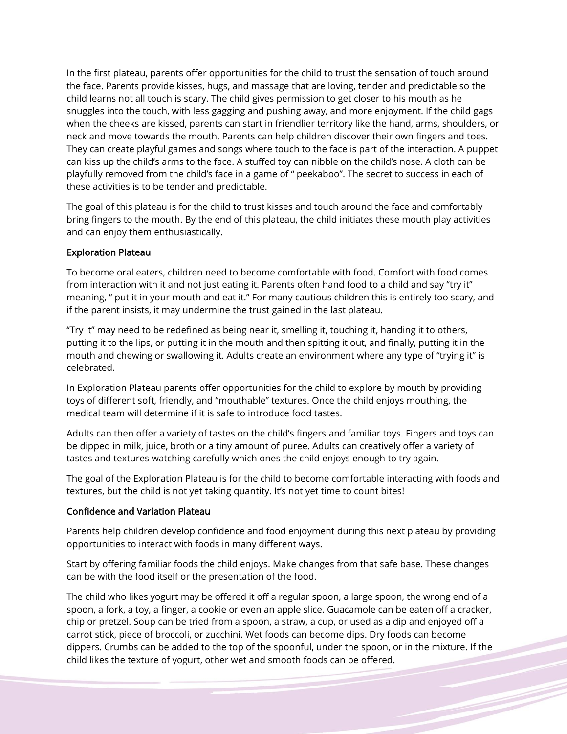In the first plateau, parents offer opportunities for the child to trust the sensation of touch around the face. Parents provide kisses, hugs, and massage that are loving, tender and predictable so the child learns not all touch is scary. The child gives permission to get closer to his mouth as he snuggles into the touch, with less gagging and pushing away, and more enjoyment. If the child gags when the cheeks are kissed, parents can start in friendlier territory like the hand, arms, shoulders, or neck and move towards the mouth. Parents can help children discover their own fingers and toes. They can create playful games and songs where touch to the face is part of the interaction. A puppet can kiss up the child's arms to the face. A stuffed toy can nibble on the child's nose. A cloth can be playfully removed from the child's face in a game of " peekaboo". The secret to success in each of these activities is to be tender and predictable.

The goal of this plateau is for the child to trust kisses and touch around the face and comfortably bring fingers to the mouth. By the end of this plateau, the child initiates these mouth play activities and can enjoy them enthusiastically.

#### Exploration Plateau

To become oral eaters, children need to become comfortable with food. Comfort with food comes from interaction with it and not just eating it. Parents often hand food to a child and say "try it" meaning, " put it in your mouth and eat it." For many cautious children this is entirely too scary, and if the parent insists, it may undermine the trust gained in the last plateau.

"Try it" may need to be redefined as being near it, smelling it, touching it, handing it to others, putting it to the lips, or putting it in the mouth and then spitting it out, and finally, putting it in the mouth and chewing or swallowing it. Adults create an environment where any type of "trying it" is celebrated.

In Exploration Plateau parents offer opportunities for the child to explore by mouth by providing toys of different soft, friendly, and "mouthable" textures. Once the child enjoys mouthing, the medical team will determine if it is safe to introduce food tastes.

Adults can then offer a variety of tastes on the child's fingers and familiar toys. Fingers and toys can be dipped in milk, juice, broth or a tiny amount of puree. Adults can creatively offer a variety of tastes and textures watching carefully which ones the child enjoys enough to try again.

The goal of the Exploration Plateau is for the child to become comfortable interacting with foods and textures, but the child is not yet taking quantity. It's not yet time to count bites!

#### Confidence and Variation Plateau

Parents help children develop confidence and food enjoyment during this next plateau by providing opportunities to interact with foods in many different ways.

Start by offering familiar foods the child enjoys. Make changes from that safe base. These changes can be with the food itself or the presentation of the food.

The child who likes yogurt may be offered it off a regular spoon, a large spoon, the wrong end of a spoon, a fork, a toy, a finger, a cookie or even an apple slice. Guacamole can be eaten off a cracker, chip or pretzel. Soup can be tried from a spoon, a straw, a cup, or used as a dip and enjoyed off a carrot stick, piece of broccoli, or zucchini. Wet foods can become dips. Dry foods can become dippers. Crumbs can be added to the top of the spoonful, under the spoon, or in the mixture. If the child likes the texture of yogurt, other wet and smooth foods can be offered.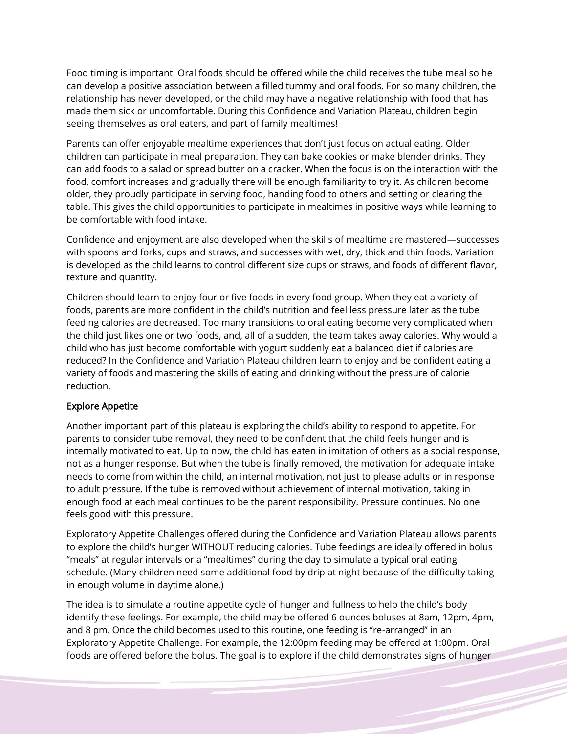Food timing is important. Oral foods should be offered while the child receives the tube meal so he can develop a positive association between a filled tummy and oral foods. For so many children, the relationship has never developed, or the child may have a negative relationship with food that has made them sick or uncomfortable. During this Confidence and Variation Plateau, children begin seeing themselves as oral eaters, and part of family mealtimes!

Parents can offer enjoyable mealtime experiences that don't just focus on actual eating. Older children can participate in meal preparation. They can bake cookies or make blender drinks. They can add foods to a salad or spread butter on a cracker. When the focus is on the interaction with the food, comfort increases and gradually there will be enough familiarity to try it. As children become older, they proudly participate in serving food, handing food to others and setting or clearing the table. This gives the child opportunities to participate in mealtimes in positive ways while learning to be comfortable with food intake.

Confidence and enjoyment are also developed when the skills of mealtime are mastered—successes with spoons and forks, cups and straws, and successes with wet, dry, thick and thin foods. Variation is developed as the child learns to control different size cups or straws, and foods of different flavor, texture and quantity.

Children should learn to enjoy four or five foods in every food group. When they eat a variety of foods, parents are more confident in the child's nutrition and feel less pressure later as the tube feeding calories are decreased. Too many transitions to oral eating become very complicated when the child just likes one or two foods, and, all of a sudden, the team takes away calories. Why would a child who has just become comfortable with yogurt suddenly eat a balanced diet if calories are reduced? In the Confidence and Variation Plateau children learn to enjoy and be confident eating a variety of foods and mastering the skills of eating and drinking without the pressure of calorie reduction.

## Explore Appetite

Another important part of this plateau is exploring the child's ability to respond to appetite. For parents to consider tube removal, they need to be confident that the child feels hunger and is internally motivated to eat. Up to now, the child has eaten in imitation of others as a social response, not as a hunger response. But when the tube is finally removed, the motivation for adequate intake needs to come from within the child, an internal motivation, not just to please adults or in response to adult pressure. If the tube is removed without achievement of internal motivation, taking in enough food at each meal continues to be the parent responsibility. Pressure continues. No one feels good with this pressure.

Exploratory Appetite Challenges offered during the Confidence and Variation Plateau allows parents to explore the child's hunger WITHOUT reducing calories. Tube feedings are ideally offered in bolus "meals" at regular intervals or a "mealtimes" during the day to simulate a typical oral eating schedule. (Many children need some additional food by drip at night because of the difficulty taking in enough volume in daytime alone.)

The idea is to simulate a routine appetite cycle of hunger and fullness to help the child's body identify these feelings. For example, the child may be offered 6 ounces boluses at 8am, 12pm, 4pm, and 8 pm. Once the child becomes used to this routine, one feeding is "re-arranged" in an Exploratory Appetite Challenge. For example, the 12:00pm feeding may be offered at 1:00pm. Oral foods are offered before the bolus. The goal is to explore if the child demonstrates signs of hunger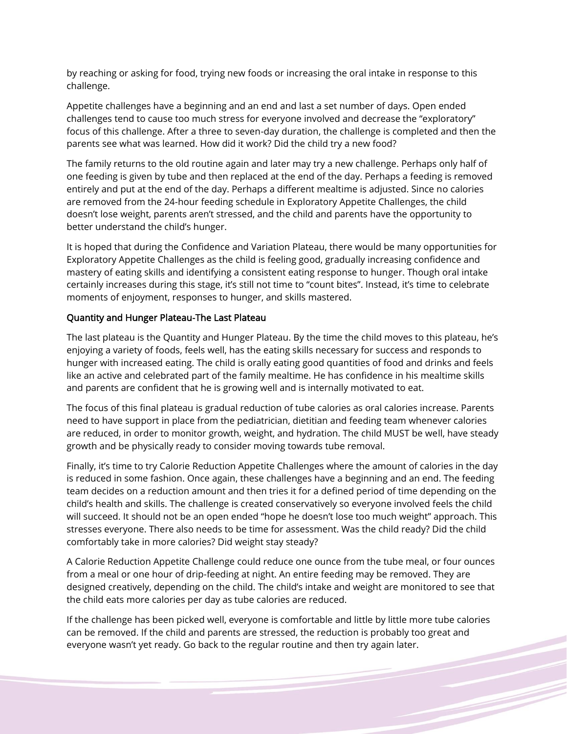by reaching or asking for food, trying new foods or increasing the oral intake in response to this challenge.

Appetite challenges have a beginning and an end and last a set number of days. Open ended challenges tend to cause too much stress for everyone involved and decrease the "exploratory" focus of this challenge. After a three to seven-day duration, the challenge is completed and then the parents see what was learned. How did it work? Did the child try a new food?

The family returns to the old routine again and later may try a new challenge. Perhaps only half of one feeding is given by tube and then replaced at the end of the day. Perhaps a feeding is removed entirely and put at the end of the day. Perhaps a different mealtime is adjusted. Since no calories are removed from the 24-hour feeding schedule in Exploratory Appetite Challenges, the child doesn't lose weight, parents aren't stressed, and the child and parents have the opportunity to better understand the child's hunger.

It is hoped that during the Confidence and Variation Plateau, there would be many opportunities for Exploratory Appetite Challenges as the child is feeling good, gradually increasing confidence and mastery of eating skills and identifying a consistent eating response to hunger. Though oral intake certainly increases during this stage, it's still not time to "count bites". Instead, it's time to celebrate moments of enjoyment, responses to hunger, and skills mastered.

#### Quantity and Hunger Plateau-The Last Plateau

The last plateau is the Quantity and Hunger Plateau. By the time the child moves to this plateau, he's enjoying a variety of foods, feels well, has the eating skills necessary for success and responds to hunger with increased eating. The child is orally eating good quantities of food and drinks and feels like an active and celebrated part of the family mealtime. He has confidence in his mealtime skills and parents are confident that he is growing well and is internally motivated to eat.

The focus of this final plateau is gradual reduction of tube calories as oral calories increase. Parents need to have support in place from the pediatrician, dietitian and feeding team whenever calories are reduced, in order to monitor growth, weight, and hydration. The child MUST be well, have steady growth and be physically ready to consider moving towards tube removal.

Finally, it's time to try Calorie Reduction Appetite Challenges where the amount of calories in the day is reduced in some fashion. Once again, these challenges have a beginning and an end. The feeding team decides on a reduction amount and then tries it for a defined period of time depending on the child's health and skills. The challenge is created conservatively so everyone involved feels the child will succeed. It should not be an open ended "hope he doesn't lose too much weight" approach. This stresses everyone. There also needs to be time for assessment. Was the child ready? Did the child comfortably take in more calories? Did weight stay steady?

A Calorie Reduction Appetite Challenge could reduce one ounce from the tube meal, or four ounces from a meal or one hour of drip-feeding at night. An entire feeding may be removed. They are designed creatively, depending on the child. The child's intake and weight are monitored to see that the child eats more calories per day as tube calories are reduced.

If the challenge has been picked well, everyone is comfortable and little by little more tube calories can be removed. If the child and parents are stressed, the reduction is probably too great and everyone wasn't yet ready. Go back to the regular routine and then try again later.